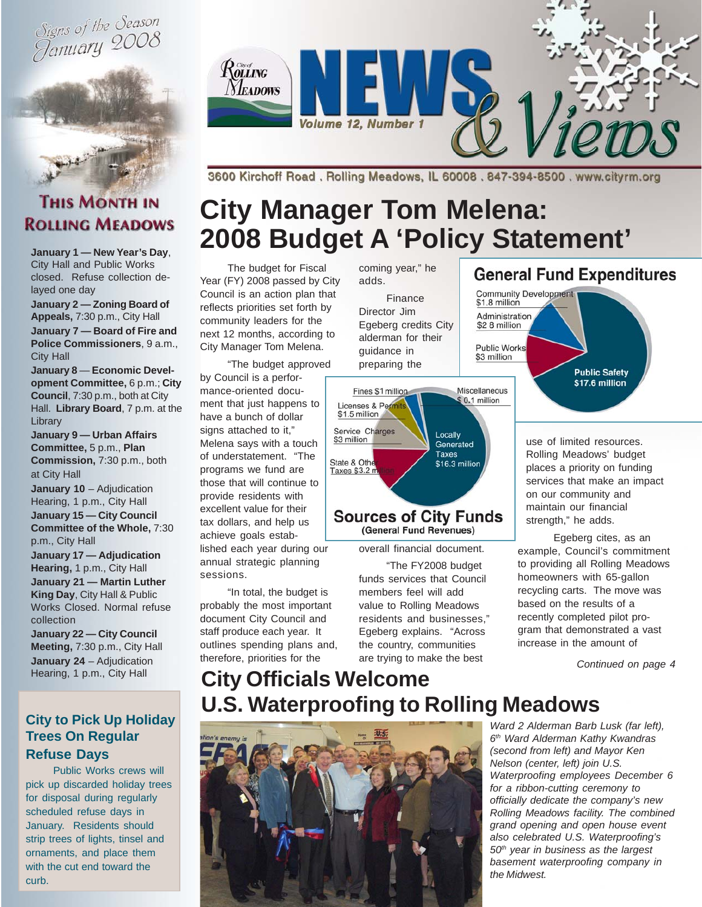Signs of the Season January 2008





**January 1 — New Year's Day**, City Hall and Public Works closed. Refuse collection delayed one day

**January 2 — Zoning Board of Appeals,** 7:30 p.m., City Hall **January 7 — Board of Fire and Police Commissioners**, 9 a.m., City Hall

**January 8** — **Economic Development Committee,** 6 p.m.; **City Council**, 7:30 p.m., both at City Hall. **Library Board**, 7 p.m. at the **Library** 

**January 9 — Urban Affairs Committee,** 5 p.m., **Plan Commission,** 7:30 p.m., both at City Hall

**January 10 – Adjudication** Hearing, 1 p.m., City Hall

**January 15 — City Council Committee of the Whole,** 7:30 p.m., City Hall

**January 17 — Adjudication Hearing,** 1 p.m., City Hall

**January 21 — Martin Luther King Day**, City Hall & Public Works Closed. Normal refuse collection

**January 22 — City Council Meeting,** 7:30 p.m., City Hall **January 24 – Adjudication** Hearing, 1 p.m., City Hall

### **Trees On Regular Refuse Days**

Public Works crews will pick up discarded holiday trees for disposal during regularly scheduled refuse days in January. Residents should strip trees of lights, tinsel and ornaments, and place them with the cut end toward the curb.



3600 Kirchoff Road, Rolling Meadows, IL 60008, 847-394-8500, www.cityrm.org

# **City Manager Tom Melena: 2008 Budget A 'Policy Statement'**

The budget for Fiscal Year (FY) 2008 passed by City Council is an action plan that reflects priorities set forth by community leaders for the next 12 months, according to City Manager Tom Melena.

"The budget approved by Council is a performance-oriented document that just happens to have a bunch of dollar signs attached to it," Melena says with a touch of understatement. "The programs we fund are those that will continue to provide residents with excellent value for their tax dollars, and help us achieve goals established each year during our annual strategic planning sessions.

"In total, the budget is probably the most important document City Council and staff produce each year. It outlines spending plans and, therefore, priorities for the

coming year," he adds.

Finance Director Jim Egeberg credits City alderman for their guidance in preparing the



overall financial document.

"The FY2008 budget funds services that Council members feel will add value to Rolling Meadows residents and businesses," Egeberg explains. "Across the country, communities are trying to make the best



use of limited resources. Rolling Meadows' budget places a priority on funding services that make an impact on our community and maintain our financial strength," he adds.

Egeberg cites, as an example, Council's commitment to providing all Rolling Meadows homeowners with 65-gallon recycling carts. The move was based on the results of a recently completed pilot program that demonstrated a vast increase in the amount of

*Continued on page 4*

# **City Officials Welcome U.S. Waterproofing to Rolling Meadows** City to Pick Up Holiday **U.S. Waterproofing to Rolling Meadows**



*Ward 2 Alderman Barb Lusk (far left), 6th Ward Alderman Kathy Kwandras (second from left) and Mayor Ken Nelson (center, left) join U.S. Waterproofing employees December 6 for a ribbon-cutting ceremony to officially dedicate the company's new Rolling Meadows facility. The combined grand opening and open house event also celebrated U.S. Waterproofing's 50th year in business as the largest basement waterproofing company in the Midwest.*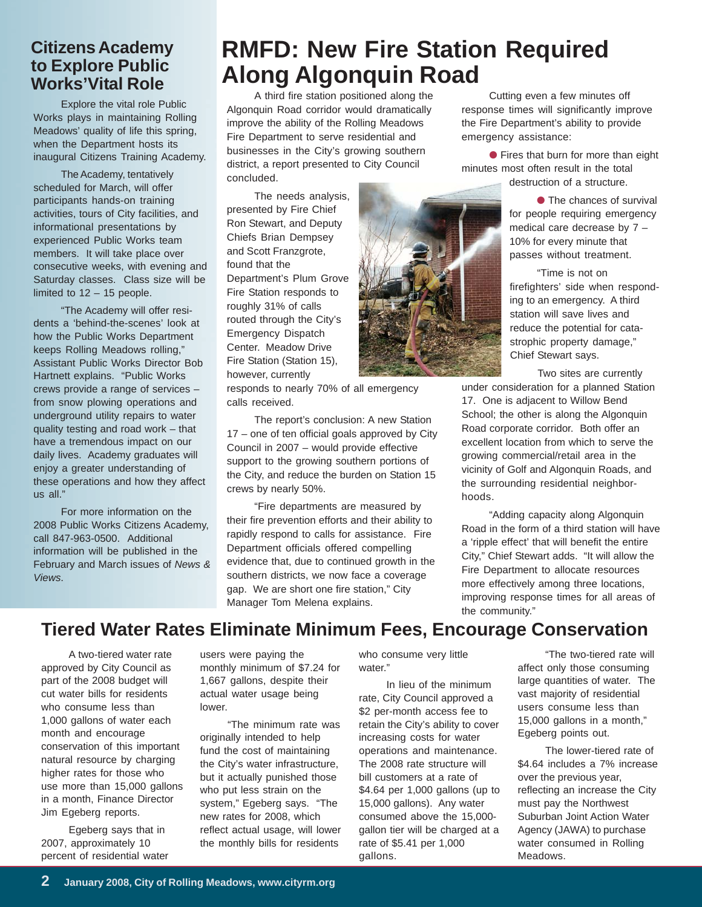#### **Citizens Academy to Explore Public Works'Vital Role**

Explore the vital role Public Works plays in maintaining Rolling Meadows' quality of life this spring, when the Department hosts its inaugural Citizens Training Academy.

The Academy, tentatively scheduled for March, will offer participants hands-on training activities, tours of City facilities, and informational presentations by experienced Public Works team members. It will take place over consecutive weeks, with evening and Saturday classes. Class size will be limited to 12 – 15 people.

"The Academy will offer residents a 'behind-the-scenes' look at how the Public Works Department keeps Rolling Meadows rolling," Assistant Public Works Director Bob Hartnett explains. "Public Works crews provide a range of services – from snow plowing operations and underground utility repairs to water quality testing and road work – that have a tremendous impact on our daily lives. Academy graduates will enjoy a greater understanding of these operations and how they affect us all."

For more information on the 2008 Public Works Citizens Academy, call 847-963-0500. Additional information will be published in the February and March issues of *News & Views*.

## **RMFD: New Fire Station Required Along Algonquin Road**

A third fire station positioned along the Algonquin Road corridor would dramatically improve the ability of the Rolling Meadows Fire Department to serve residential and businesses in the City's growing southern district, a report presented to City Council concluded.

The needs analysis, presented by Fire Chief Ron Stewart, and Deputy Chiefs Brian Dempsey and Scott Franzgrote, found that the Department's Plum Grove Fire Station responds to roughly 31% of calls routed through the City's Emergency Dispatch Center. Meadow Drive Fire Station (Station 15), however, currently

responds to nearly 70% of all emergency calls received.

The report's conclusion: A new Station 17 – one of ten official goals approved by City Council in 2007 – would provide effective support to the growing southern portions of the City, and reduce the burden on Station 15 crews by nearly 50%.

"Fire departments are measured by their fire prevention efforts and their ability to rapidly respond to calls for assistance. Fire Department officials offered compelling evidence that, due to continued growth in the southern districts, we now face a coverage gap. We are short one fire station," City Manager Tom Melena explains.



Cutting even a few minutes off response times will significantly improve the Fire Department's ability to provide emergency assistance:

● Fires that burn for more than eight minutes most often result in the total destruction of a structure.

> ● The chances of survival for people requiring emergency medical care decrease by 7 – 10% for every minute that passes without treatment.

"Time is not on firefighters' side when responding to an emergency. A third station will save lives and reduce the potential for catastrophic property damage," Chief Stewart says.

Two sites are currently under consideration for a planned Station 17. One is adjacent to Willow Bend School; the other is along the Algonquin Road corporate corridor. Both offer an excellent location from which to serve the growing commercial/retail area in the vicinity of Golf and Algonquin Roads, and the surrounding residential neighborhoods.

"Adding capacity along Algonquin Road in the form of a third station will have a 'ripple effect' that will benefit the entire City," Chief Stewart adds. "It will allow the Fire Department to allocate resources more effectively among three locations, improving response times for all areas of the community."

### **Tiered Water Rates Eliminate Minimum Fees, Encourage Conservation**

A two-tiered water rate approved by City Council as part of the 2008 budget will cut water bills for residents who consume less than 1,000 gallons of water each month and encourage conservation of this important natural resource by charging higher rates for those who use more than 15,000 gallons in a month, Finance Director Jim Egeberg reports.

Egeberg says that in 2007, approximately 10 percent of residential water users were paying the monthly minimum of \$7.24 for 1,667 gallons, despite their actual water usage being lower.

"The minimum rate was originally intended to help fund the cost of maintaining the City's water infrastructure, but it actually punished those who put less strain on the system," Egeberg says. "The new rates for 2008, which reflect actual usage, will lower the monthly bills for residents

who consume very little water."

In lieu of the minimum rate, City Council approved a \$2 per-month access fee to retain the City's ability to cover increasing costs for water operations and maintenance. The 2008 rate structure will bill customers at a rate of \$4.64 per 1,000 gallons (up to 15,000 gallons). Any water consumed above the 15,000 gallon tier will be charged at a rate of \$5.41 per 1,000 gallons.

"The two-tiered rate will affect only those consuming large quantities of water. The vast majority of residential users consume less than 15,000 gallons in a month," Egeberg points out.

The lower-tiered rate of \$4.64 includes a 7% increase over the previous year, reflecting an increase the City must pay the Northwest Suburban Joint Action Water Agency (JAWA) to purchase water consumed in Rolling Meadows.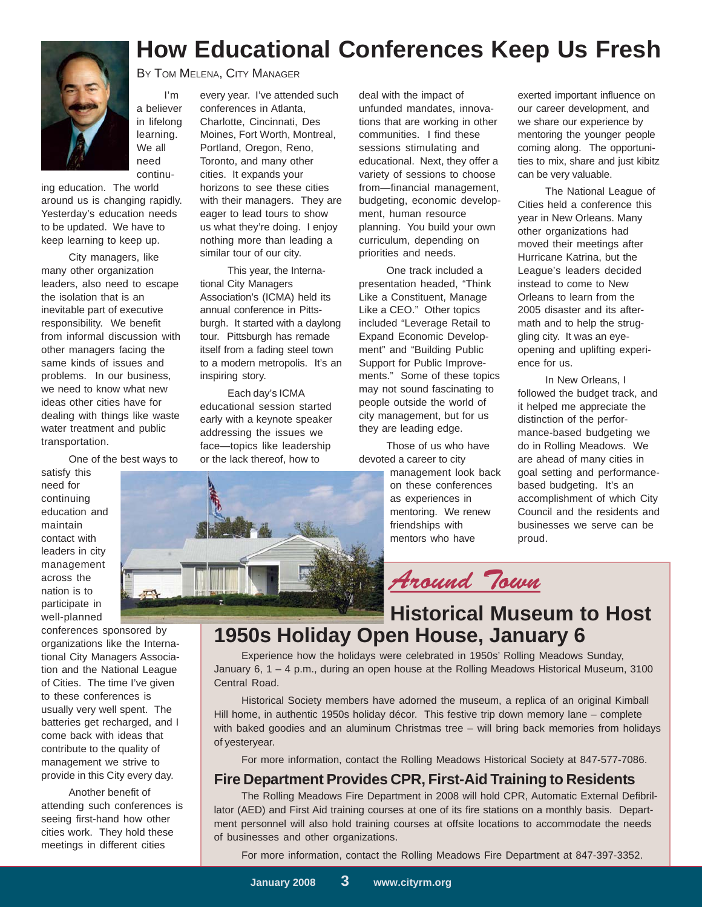

## **How Educational Conferences Keep Us Fresh**

BY TOM MELENA, CITY MANAGER

I'm a believer in lifelong learning. We all need continu-

ing education. The world around us is changing rapidly. Yesterday's education needs to be updated. We have to keep learning to keep up.

City managers, like many other organization leaders, also need to escape the isolation that is an inevitable part of executive responsibility. We benefit from informal discussion with other managers facing the same kinds of issues and problems. In our business, we need to know what new ideas other cities have for dealing with things like waste water treatment and public transportation.

One of the best ways to

satisfy this need for continuing education and maintain contact with leaders in city management across the nation is to participate in well-planned

conferences sponsored by organizations like the International City Managers Association and the National League of Cities. The time I've given to these conferences is usually very well spent. The batteries get recharged, and I come back with ideas that contribute to the quality of management we strive to provide in this City every day.

Another benefit of attending such conferences is seeing first-hand how other cities work. They hold these meetings in different cities

every year. I've attended such conferences in Atlanta, Charlotte, Cincinnati, Des Moines, Fort Worth, Montreal, Portland, Oregon, Reno, Toronto, and many other cities. It expands your horizons to see these cities with their managers. They are eager to lead tours to show us what they're doing. I enjoy nothing more than leading a similar tour of our city.

This year, the International City Managers Association's (ICMA) held its annual conference in Pittsburgh. It started with a daylong tour. Pittsburgh has remade itself from a fading steel town to a modern metropolis. It's an inspiring story.

Each day's ICMA educational session started early with a keynote speaker addressing the issues we face—topics like leadership or the lack thereof, how to



deal with the impact of unfunded mandates, innovations that are working in other communities. I find these sessions stimulating and educational. Next, they offer a variety of sessions to choose from—financial management, budgeting, economic development, human resource planning. You build your own curriculum, depending on priorities and needs.

One track included a presentation headed, "Think Like a Constituent, Manage Like a CEO." Other topics included "Leverage Retail to Expand Economic Development" and "Building Public Support for Public Improvements." Some of these topics may not sound fascinating to people outside the world of city management, but for us they are leading edge.

Those of us who have devoted a career to city

> management look back on these conferences as experiences in mentoring. We renew friendships with mentors who have

exerted important influence on our career development, and we share our experience by mentoring the younger people coming along. The opportunities to mix, share and just kibitz can be very valuable.

The National League of Cities held a conference this year in New Orleans. Many other organizations had moved their meetings after Hurricane Katrina, but the League's leaders decided instead to come to New Orleans to learn from the 2005 disaster and its aftermath and to help the struggling city. It was an eyeopening and uplifting experience for us.

In New Orleans, I followed the budget track, and it helped me appreciate the distinction of the performance-based budgeting we do in Rolling Meadows. We are ahead of many cities in goal setting and performancebased budgeting. It's an accomplishment of which City Council and the residents and businesses we serve can be proud.

*Around Town*

**Historical Museum to Host 1950s Holiday Open House, January 6**

Experience how the holidays were celebrated in 1950s' Rolling Meadows Sunday, January 6, 1 – 4 p.m., during an open house at the Rolling Meadows Historical Museum, 3100 Central Road.

Historical Society members have adorned the museum, a replica of an original Kimball Hill home, in authentic 1950s holiday décor. This festive trip down memory lane – complete with baked goodies and an aluminum Christmas tree – will bring back memories from holidays of yesteryear.

For more information, contact the Rolling Meadows Historical Society at 847-577-7086.

#### **Fire Department Provides CPR, First-Aid Training to Residents**

The Rolling Meadows Fire Department in 2008 will hold CPR, Automatic External Defibrillator (AED) and First Aid training courses at one of its fire stations on a monthly basis. Department personnel will also hold training courses at offsite locations to accommodate the needs of businesses and other organizations.

For more information, contact the Rolling Meadows Fire Department at 847-397-3352.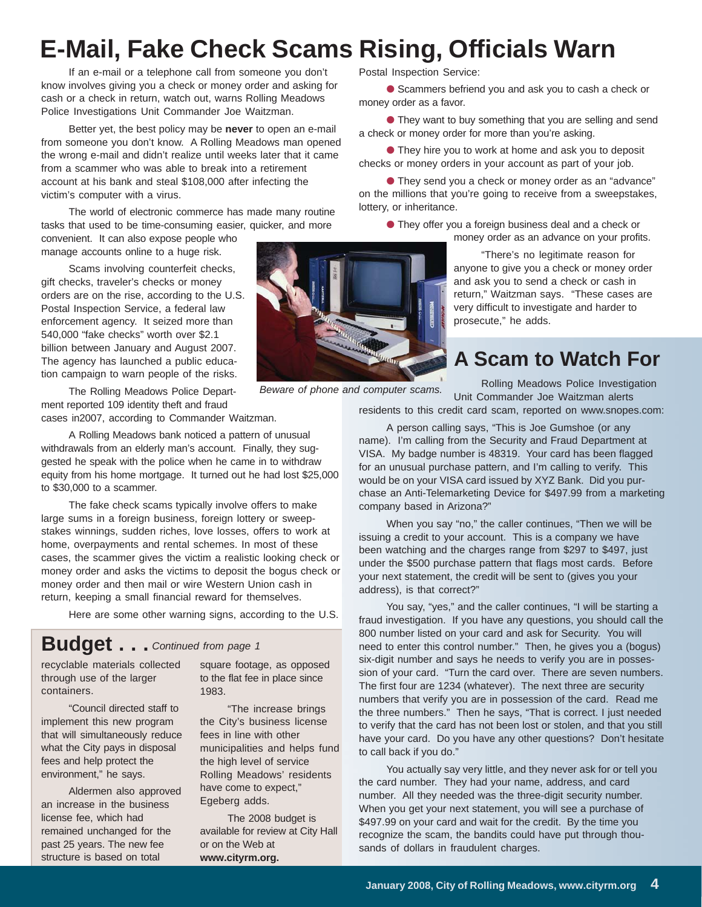# **E-Mail, Fake Check Scams Rising, Officials Warn**

If an e-mail or a telephone call from someone you don't know involves giving you a check or money order and asking for cash or a check in return, watch out, warns Rolling Meadows Police Investigations Unit Commander Joe Waitzman.

Better yet, the best policy may be **never** to open an e-mail from someone you don't know. A Rolling Meadows man opened the wrong e-mail and didn't realize until weeks later that it came from a scammer who was able to break into a retirement account at his bank and steal \$108,000 after infecting the victim's computer with a virus.

The world of electronic commerce has made many routine tasks that used to be time-consuming easier, quicker, and more

convenient. It can also expose people who manage accounts online to a huge risk.

Scams involving counterfeit checks, gift checks, traveler's checks or money orders are on the rise, according to the U.S. Postal Inspection Service, a federal law enforcement agency. It seized more than 540,000 "fake checks" worth over \$2.1 billion between January and August 2007. The agency has launched a public education campaign to warn people of the risks.

The Rolling Meadows Police Department reported 109 identity theft and fraud

cases in2007, according to Commander Waitzman.

A Rolling Meadows bank noticed a pattern of unusual withdrawals from an elderly man's account. Finally, they suggested he speak with the police when he came in to withdraw equity from his home mortgage. It turned out he had lost \$25,000 to \$30,000 to a scammer.

The fake check scams typically involve offers to make large sums in a foreign business, foreign lottery or sweepstakes winnings, sudden riches, love losses, offers to work at home, overpayments and rental schemes. In most of these cases, the scammer gives the victim a realistic looking check or money order and asks the victims to deposit the bogus check or money order and then mail or wire Western Union cash in return, keeping a small financial reward for themselves.

Here are some other warning signs, according to the U.S.

### **Budget . . .** *Continued from page 1*

recyclable materials collected through use of the larger containers.

"Council directed staff to implement this new program that will simultaneously reduce what the City pays in disposal fees and help protect the environment," he says.

Aldermen also approved an increase in the business license fee, which had remained unchanged for the past 25 years. The new fee structure is based on total

square footage, as opposed to the flat fee in place since 1983.

"The increase brings the City's business license fees in line with other municipalities and helps fund the high level of service Rolling Meadows' residents have come to expect," Egeberg adds.

The 2008 budget is available for review at City Hall or on the Web at **www.cityrm.org.**

Postal Inspection Service:

● Scammers befriend you and ask you to cash a check or money order as a favor.

● They want to buy something that you are selling and send a check or money order for more than you're asking.

● They hire you to work at home and ask you to deposit checks or money orders in your account as part of your job.

● They send you a check or money order as an "advance" on the millions that you're going to receive from a sweepstakes, lottery, or inheritance.

● They offer you a foreign business deal and a check or money order as an advance on your profits.

> "There's no legitimate reason for anyone to give you a check or money order and ask you to send a check or cash in return," Waitzman says. "These cases are very difficult to investigate and harder to prosecute," he adds.

### **A Scam to Watch For**

*Beware of phone and computer scams.*

Rolling Meadows Police Investigation Unit Commander Joe Waitzman alerts

residents to this credit card scam, reported on www.snopes.com:

A person calling says, "This is Joe Gumshoe (or any name). I'm calling from the Security and Fraud Department at VISA. My badge number is 48319. Your card has been flagged for an unusual purchase pattern, and I'm calling to verify. This would be on your VISA card issued by XYZ Bank. Did you purchase an Anti-Telemarketing Device for \$497.99 from a marketing company based in Arizona?"

When you say "no," the caller continues, "Then we will be issuing a credit to your account. This is a company we have been watching and the charges range from \$297 to \$497, just under the \$500 purchase pattern that flags most cards. Before your next statement, the credit will be sent to (gives you your address), is that correct?"

You say, "yes," and the caller continues, "I will be starting a fraud investigation. If you have any questions, you should call the 800 number listed on your card and ask for Security. You will need to enter this control number." Then, he gives you a (bogus) six-digit number and says he needs to verify you are in possession of your card. "Turn the card over. There are seven numbers. The first four are 1234 (whatever). The next three are security numbers that verify you are in possession of the card. Read me the three numbers." Then he says, "That is correct. I just needed to verify that the card has not been lost or stolen, and that you still have your card. Do you have any other questions? Don't hesitate to call back if you do."

You actually say very little, and they never ask for or tell you the card number. They had your name, address, and card number. All they needed was the three-digit security number. When you get your next statement, you will see a purchase of \$497.99 on your card and wait for the credit. By the time you recognize the scam, the bandits could have put through thousands of dollars in fraudulent charges.

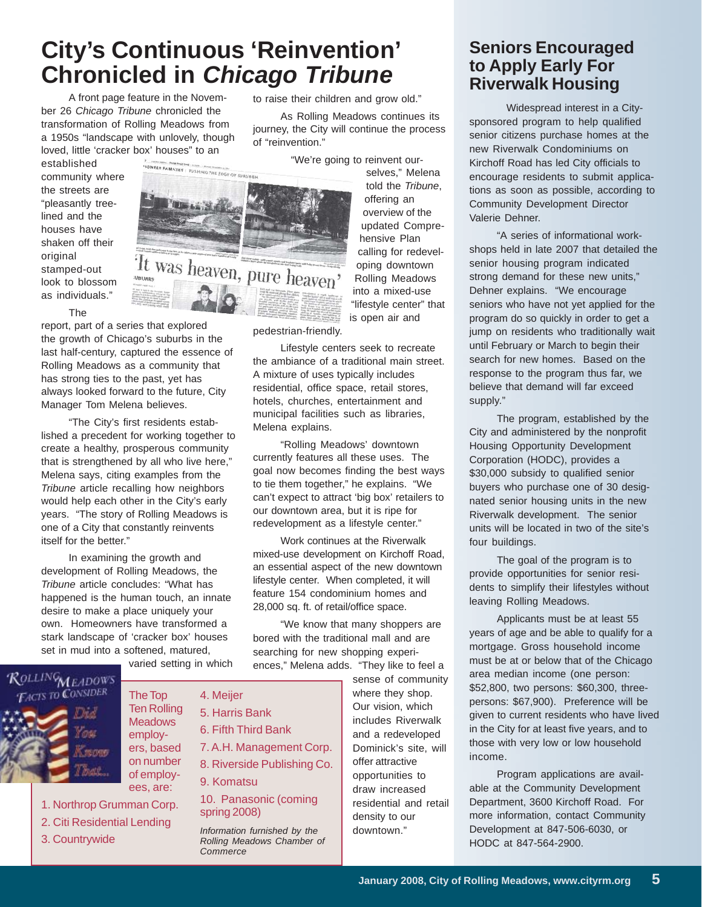## **City's Continuous 'Reinvention' Chronicled in** *Chicago Tribune*

A front page feature in the November 26 *Chicago Tribune* chronicled the transformation of Rolling Meadows from a 1950s "landscape with unlovely, though loved, little 'cracker box' houses" to an

established community where the streets are "pleasantly treelined and the houses have shaken off their original stamped-out look to blossom as individuals."

The

report, part of a series that explored the growth of Chicago's suburbs in the last half-century, captured the essence of Rolling Meadows as a community that has strong ties to the past, yet has always looked forward to the future, City Manager Tom Melena believes.

"The City's first residents established a precedent for working together to create a healthy, prosperous community that is strengthened by all who live here," Melena says, citing examples from the *Tribune* article recalling how neighbors would help each other in the City's early years. "The story of Rolling Meadows is one of a City that constantly reinvents itself for the better."

In examining the growth and development of Rolling Meadows, the *Tribune* article concludes: "What has happened is the human touch, an innate desire to make a place uniquely your own. Homeowners have transformed a stark landscape of 'cracker box' houses set in mud into a softened, matured,

varied setting in which

*Commerce*

9. Komatsu

spring 2008)

4. Meijer 5. Harris Bank 6. Fifth Third Bank

7. A.H. Management Corp. 8. Riverside Publishing Co.

10. Panasonic (coming



Ten Rolling **Meadows** employers, based on number of employees, are:

The Top

- 1. Northrop Grumman Corp.
- 2. Citi Residential Lending
- 3. Countrywide *Information furnished by the Rolling Meadows Chamber of*

to raise their children and grow old."

As Rolling Meadows continues its journey, the City will continue the process of "reinvention."

"We're going to reinvent our-

selves," Melena told the *Tribune*, offering an overview of the updated Comprehensive Plan calling for redeveloping downtown Rolling Meadows into a mixed-use "lifestyle center" that is open air and

pedestrian-friendly.

Lifestyle centers seek to recreate the ambiance of a traditional main street. A mixture of uses typically includes residential, office space, retail stores, hotels, churches, entertainment and municipal facilities such as libraries, Melena explains.

"Rolling Meadows' downtown currently features all these uses. The goal now becomes finding the best ways to tie them together," he explains. "We can't expect to attract 'big box' retailers to our downtown area, but it is ripe for redevelopment as a lifestyle center."

Work continues at the Riverwalk mixed-use development on Kirchoff Road, an essential aspect of the new downtown lifestyle center. When completed, it will feature 154 condominium homes and 28,000 sq. ft. of retail/office space.

"We know that many shoppers are bored with the traditional mall and are searching for new shopping experiences," Melena adds. "They like to feel a

> sense of community where they shop. Our vision, which includes Riverwalk and a redeveloped Dominick's site, will offer attractive opportunities to draw increased residential and retail density to our downtown."

#### **Seniors Encouraged to Apply Early For Riverwalk Housing**

 Widespread interest in a Citysponsored program to help qualified senior citizens purchase homes at the new Riverwalk Condominiums on Kirchoff Road has led City officials to encourage residents to submit applications as soon as possible, according to Community Development Director Valerie Dehner.

"A series of informational workshops held in late 2007 that detailed the senior housing program indicated strong demand for these new units," Dehner explains. "We encourage seniors who have not yet applied for the program do so quickly in order to get a jump on residents who traditionally wait until February or March to begin their search for new homes. Based on the response to the program thus far, we believe that demand will far exceed supply."

The program, established by the City and administered by the nonprofit Housing Opportunity Development Corporation (HODC), provides a \$30,000 subsidy to qualified senior buyers who purchase one of 30 designated senior housing units in the new Riverwalk development. The senior units will be located in two of the site's four buildings.

The goal of the program is to provide opportunities for senior residents to simplify their lifestyles without leaving Rolling Meadows.

Applicants must be at least 55 years of age and be able to qualify for a mortgage. Gross household income must be at or below that of the Chicago area median income (one person: \$52,800, two persons: \$60,300, threepersons: \$67,900). Preference will be given to current residents who have lived in the City for at least five years, and to those with very low or low household income.

Program applications are available at the Community Development Department, 3600 Kirchoff Road. For more information, contact Community Development at 847-506-6030, or HODC at 847-564-2900.